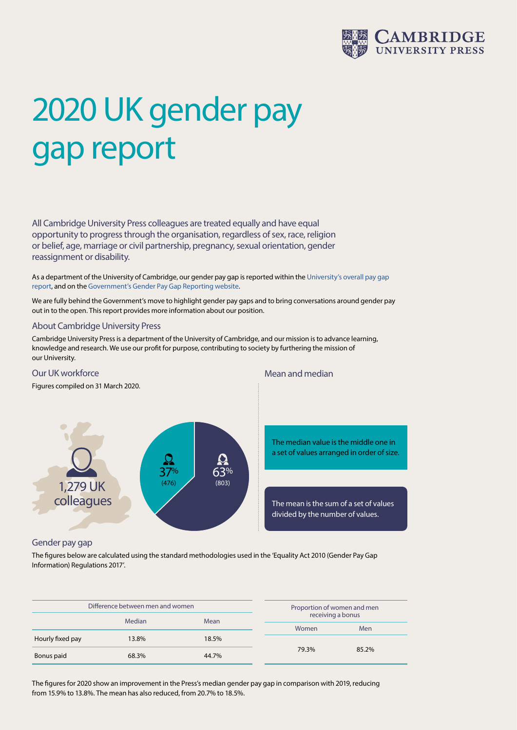

# 2020 UK gender pay gap report

All Cambridge University Press colleagues are treated equally and have equal opportunity to progress through the organisation, regardless of sex, race, religion or belief, age, marriage or civil partnership, pregnancy, sexual orientation, gender reassignment or disability.

As a department of the University of Cambridge, our gender pay gap is reported within the [University's overall pay gap](http://www.inclusivecambridge.admin.cam.ac.uk/gender-equality-reporting)  [report](http://www.inclusivecambridge.admin.cam.ac.uk/gender-equality-reporting), and on the [Government's Gender Pay Gap Reporting website.](https://gender-pay-gap.service.gov.uk/Viewing/employer-details?view=hourly-rate&id=Y3SpVuJd4ImwzdOHtU3TBA%21%21)

We are fully behind the Government's move to highlight gender pay gaps and to bring conversations around gender pay out in to the open. This report provides more information about our position.

#### About Cambridge University Press

Cambridge University Press is a department of the University of Cambridge, and our mission is to advance learning, knowledge and research. We use our profit for purpose, contributing to society by furthering the mission of our University.



## Gender pay gap

The figures below are calculated using the standard methodologies used in the 'Equality Act 2010 (Gender Pay Gap Information) Regulations 2017'.

| Difference between men and women |        |       | Proportion of women and men |       |
|----------------------------------|--------|-------|-----------------------------|-------|
|                                  | Median | Mean  | receiving a bonus           |       |
|                                  |        |       | Women                       | Men   |
| Hourly fixed pay                 | 13.8%  | 18.5% |                             |       |
| Bonus paid                       | 68.3%  | 44.7% | 79.3%                       | 85.2% |

The figures for 2020 show an improvement in the Press's median gender pay gap in comparison with 2019, reducing from 15.9% to 13.8%. The mean has also reduced, from 20.7% to 18.5%.